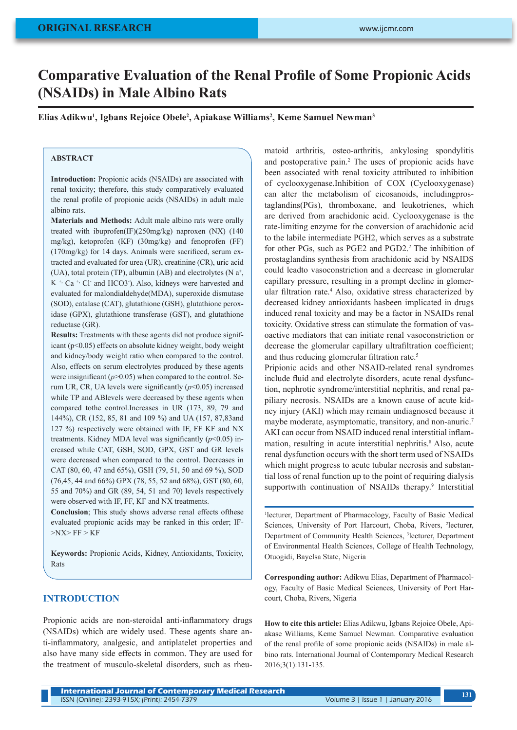# **Comparative Evaluation of the Renal Profile of Some Propionic Acids (NSAIDs) in Male Albino Rats**

**Elias Adikwu<sup>1</sup> , Igbans Rejoice Obele<sup>2</sup> , Apiakase Williams<sup>2</sup> , Keme Samuel Newman<sup>3</sup>**

## **ABSTRACT**

**Introduction:** Propionic acids (NSAIDs) are associated with renal toxicity; therefore, this study comparatively evaluated the renal profile of propionic acids (NSAIDs) in adult male albino rats.

**Materials and Methods:** Adult male albino rats were orally treated with ibuprofen(IF)(250mg/kg) naproxen (NX) (140 mg/kg), ketoprofen (KF) (30mg/kg) and fenoprofen (FF) (170mg/kg) for 14 days. Animals were sacrificed, serum extracted and evaluated for urea (UR), creatinine (CR), uric acid (UA), total protein (TP), albumin (AB) and electrolytes (N  $a^+$ , K<sup>+,</sup> Ca<sup>+,</sup> Cl· and HCO3·). Also, kidneys were harvested and evaluated for malondialdehyde(MDA), superoxide dismutase (SOD), catalase (CAT), glutathione (GSH), glutathione peroxidase (GPX), glutathione transferase (GST), and glutathione reductase (GR).

**Results:** Treatments with these agents did not produce significant (p<0.05) effects on absolute kidney weight, body weight and kidney/body weight ratio when compared to the control. Also, effects on serum electrolytes produced by these agents were insignificant  $(p>0.05)$  when compared to the control. Serum UR, CR, UA levels were significantly (*p*<0.05) increased while TP and ABlevels were decreased by these agents when compared tothe control.Increases in UR (173, 89, 79 and 144%), CR (152, 85, 81 and 109 %) and UA (157, 87,83and 127 %) respectively were obtained with IF, FF KF and NX treatments. Kidney MDA level was significantly  $(p<0.05)$  increased while CAT, GSH, SOD, GPX, GST and GR levels were decreased when compared to the control. Decreases in CAT (80, 60, 47 and 65%), GSH (79, 51, 50 and 69 %), SOD (76,45, 44 and 66%) GPX (78, 55, 52 and 68%), GST (80, 60, 55 and 70%) and GR (89, 54, 51 and 70) levels respectively were observed with IF, FF, KF and NX treatments.

**Conclusion**; This study shows adverse renal effects ofthese evaluated propionic acids may be ranked in this order; IF- >NX> FF > KF

**Keywords:** Propionic Acids, Kidney, Antioxidants, Toxicity, Rats

## **INTRODUCTION**

Propionic acids are non-steroidal anti-inflammatory drugs (NSAIDs) which are widely used. These agents share anti-inflammatory, analgesic, and antiplatelet properties and also have many side effects in common. They are used for the treatment of musculo-skeletal disorders, such as rheu-

matoid arthritis, osteo-arthritis, ankylosing spondylitis and postoperative pain.2 The uses of propionic acids have been associated with renal toxicity attributed to inhibition of cyclooxygenase.Inhibition of COX (Cyclooxygenase) can alter the metabolism of eicosanoids, includingprostaglandins(PGs), thromboxane, and leukotrienes, which are derived from arachidonic acid. Cyclooxygenase is the rate-limiting enzyme for the conversion of arachidonic acid to the labile intermediate PGH2, which serves as a substrate for other PGs, such as PGE2 and PGD2.<sup>2</sup> The inhibition of prostaglandins synthesis from arachidonic acid by NSAIDS could leadto vasoconstriction and a decrease in glomerular capillary pressure, resulting in a prompt decline in glomerular filtration rate.<sup>4</sup> Also, oxidative stress characterized by decreased kidney antioxidants hasbeen implicated in drugs induced renal toxicity and may be a factor in NSAIDs renal toxicity. Oxidative stress can stimulate the formation of vasoactive mediators that can initiate renal vasoconstriction or decrease the glomerular capillary ultrafiltration coefficient; and thus reducing glomerular filtration rate.<sup>5</sup>

Pripionic acids and other NSAID-related renal syndromes include fluid and electrolyte disorders, acute renal dysfunction, nephrotic syndrome/interstitial nephritis, and renal papiliary necrosis. NSAIDs are a known cause of acute kidney injury (AKI) which may remain undiagnosed because it maybe moderate, asymptomatic, transitory, and non-anuric.7 AKI can occur from NSAID induced renal interstitial inflammation, resulting in acute interstitial nephritis.<sup>8</sup> Also, acute renal dysfunction occurs with the short term used of NSAIDs which might progress to acute tubular necrosis and substantial loss of renal function up to the point of requiring dialysis supportwith continuation of NSAIDs therapy.<sup>9</sup> Interstitial

1 lecturer, Department of Pharmacology, Faculty of Basic Medical Sciences, University of Port Harcourt, Choba, Rivers, 2 lecturer, Department of Community Health Sciences, 3 lecturer, Department of Environmental Health Sciences, College of Health Technology, Otuogidi, Bayelsa State, Nigeria

**Corresponding author:** Adikwu Elias, Department of Pharmacology, Faculty of Basic Medical Sciences, University of Port Harcourt, Choba, Rivers, Nigeria

**How to cite this article:** Elias Adikwu, Igbans Rejoice Obele, Apiakase Williams, Keme Samuel Newman. Comparative evaluation of the renal profile of some propionic acids (NSAIDs) in male albino rats. International Journal of Contemporary Medical Research 2016;3(1):131-135.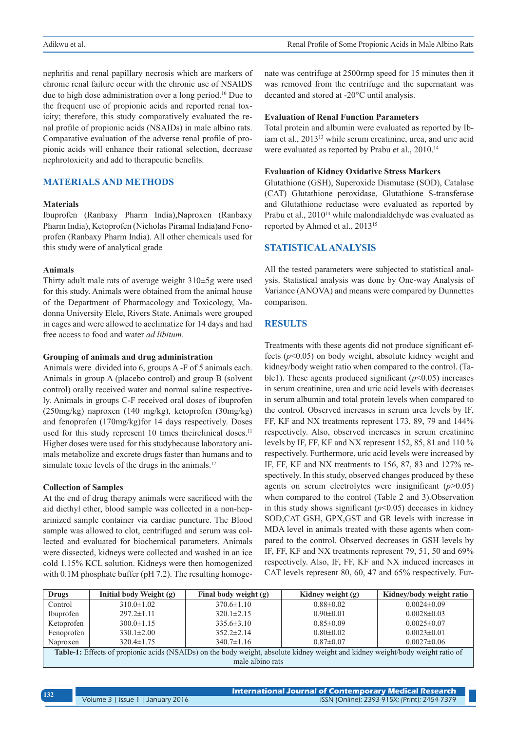nephritis and renal papillary necrosis which are markers of chronic renal failure occur with the chronic use of NSAIDS due to high dose administration over a long period.10 Due to the frequent use of propionic acids and reported renal toxicity; therefore, this study comparatively evaluated the renal profile of propionic acids (NSAIDs) in male albino rats. Comparative evaluation of the adverse renal profile of propionic acids will enhance their rational selection, decrease nephrotoxicity and add to therapeutic benefits.

# **MATERIALS AND METHODS**

## **Materials**

Ibuprofen (Ranbaxy Pharm India),Naproxen (Ranbaxy Pharm India), Ketoprofen (Nicholas Piramal India)and Fenoprofen (Ranbaxy Pharm India). All other chemicals used for this study were of analytical grade

#### **Animals**

Thirty adult male rats of average weight 310±5g were used for this study. Animals were obtained from the animal house of the Department of Pharmacology and Toxicology, Madonna University Elele, Rivers State. Animals were grouped in cages and were allowed to acclimatize for 14 days and had free access to food and water *ad libitum.*

#### **Grouping of animals and drug administration**

Animals were divided into 6, groups A -F of 5 animals each. Animals in group A (placebo control) and group B (solvent control) orally received water and normal saline respectively. Animals in groups C-F received oral doses of ibuprofen (250mg/kg) naproxen (140 mg/kg), ketoprofen (30mg/kg) and fenoprofen (170mg/kg)for 14 days respectively. Doses used for this study represent 10 times their clinical doses.<sup>11</sup> Higher doses were used for this studybecause laboratory animals metabolize and excrete drugs faster than humans and to simulate toxic levels of the drugs in the animals.<sup>12</sup>

#### **Collection of Samples**

At the end of drug therapy animals were sacrificed with the aid diethyl ether, blood sample was collected in a non-heparinized sample container via cardiac puncture. The Blood sample was allowed to clot, centrifuged and serum was collected and evaluated for biochemical parameters. Animals were dissected, kidneys were collected and washed in an ice cold 1.15% KCL solution. Kidneys were then homogenized with 0.1M phosphate buffer (pH 7.2). The resulting homogenate was centrifuge at 2500rmp speed for 15 minutes then it was removed from the centrifuge and the supernatant was decanted and stored at -20°C until analysis.

#### **Evaluation of Renal Function Parameters**

Total protein and albumin were evaluated as reported by Ibiam et al., 2013<sup>13</sup> while serum creatinine, urea, and uric acid were evaluated as reported by Prabu et al., 2010.<sup>14</sup>

## **Evaluation of Kidney Oxidative Stress Markers**

Glutathione (GSH), Superoxide Dismutase (SOD), Catalase (CAT) Glutathione peroxidase, Glutathione S-transferase and Glutathione reductase were evaluated as reported by Prabu et al., 2010<sup>14</sup> while malondialdehyde was evaluated as reported by Ahmed et al., 201315

## **STATISTICAL ANALYSIS**

All the tested parameters were subjected to statistical analysis. Statistical analysis was done by One-way Analysis of Variance (ANOVA) and means were compared by Dunnettes comparison.

## **RESULTS**

Treatments with these agents did not produce significant effects (*p*<0.05) on body weight, absolute kidney weight and kidney/body weight ratio when compared to the control. (Table1). These agents produced significant  $(p<0.05)$  increases in serum creatinine, urea and uric acid levels with decreases in serum albumin and total protein levels when compared to the control. Observed increases in serum urea levels by IF, FF, KF and NX treatments represent 173, 89, 79 and 144% respectively. Also, observed increases in serum creatinine levels by IF, FF, KF and NX represent 152, 85, 81 and 110 % respectively. Furthermore, uric acid levels were increased by IF, FF, KF and NX treatments to 156, 87, 83 and 127% respectively. In this study, observed changes produced by these agents on serum electrolytes were insignificant (*p*>0.05) when compared to the control (Table 2 and 3).Observation in this study shows significant  $(p<0.05)$  deceases in kidney SOD,CAT GSH, GPX,GST and GR levels with increase in MDA level in animals treated with these agents when compared to the control. Observed decreases in GSH levels by IF, FF, KF and NX treatments represent 79, 51, 50 and 69% respectively. Also, IF, FF, KF and NX induced increases in CAT levels represent 80, 60, 47 and 65% respectively. Fur-

| Drugs                                                                                                                          | Initial body Weight (g) | Final body weight (g) | Kidney weight (g) | Kidney/body weight ratio |  |
|--------------------------------------------------------------------------------------------------------------------------------|-------------------------|-----------------------|-------------------|--------------------------|--|
| Control                                                                                                                        | $310.0 \pm 1.02$        | $370.6 \pm 1.10$      | $0.88 \pm 0.02$   | $0.0024\pm0.09$          |  |
| Ibuprofen                                                                                                                      | $297.2 \pm 1.11$        | $320.1 \pm 2.15$      | $0.90 \pm 0.01$   | $0.0028 \pm 0.03$        |  |
| Ketoprofen                                                                                                                     | $300.0 \pm 1.15$        | $335.6 \pm 3.10$      | $0.85 \pm 0.09$   | $0.0025 \pm 0.07$        |  |
| Fenoprofen                                                                                                                     | $330.1 \pm 2.00$        | $352.2 \pm 2.14$      | $0.80 \pm 0.02$   | $0.0023 \pm 0.01$        |  |
| Naproxen                                                                                                                       | $320.4 \pm 1.75$        | $340.7 \pm 1.16$      | $0.87\pm0.07$     | $0.0027\pm0.06$          |  |
| Table-1: Effects of propionic acids (NSAIDs) on the body weight, absolute kidney weight and kidney weight/body weight ratio of |                         |                       |                   |                          |  |
| male albino rats                                                                                                               |                         |                       |                   |                          |  |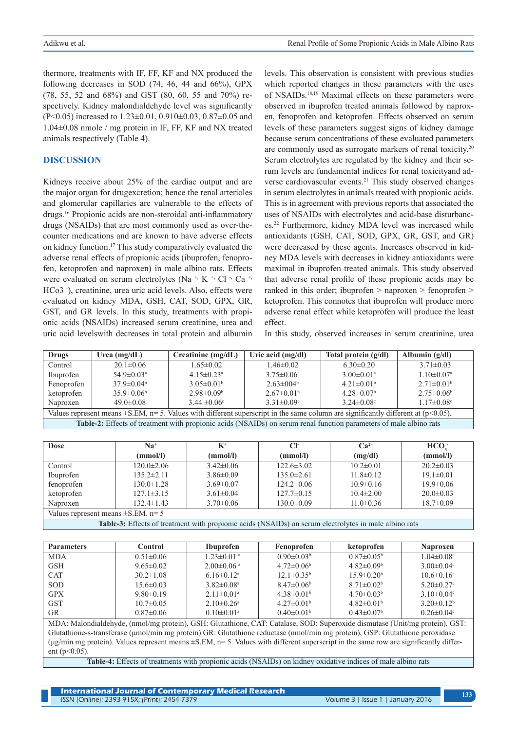thermore, treatments with IF, FF, KF and NX produced the following decreases in SOD (74, 46, 44 and 66%), GPX (78, 55, 52 and 68%) and GST (80, 60, 55 and 70%) respectively. Kidney malondialdehyde level was significantly (P<0.05) increased to 1.23±0.01, 0.910±0.03, 0.87±0.05 and 1.04±0.08 nmole / mg protein in IF, FF, KF and NX treated animals respectively (Table 4).

## **DISCUSSION**

Kidneys receive about 25% of the cardiac output and are the major organ for drugexcretion; hence the renal arterioles and glomerular capillaries are vulnerable to the effects of drugs.16 Propionic acids are non-steroidal anti-inflammatory drugs (NSAIDs) that are most commonly used as over-thecounter medications and are known to have adverse effects on kidney function.17 This study comparatively evaluated the adverse renal effects of propionic acids (ibuprofen, fenoprofen, ketoprofen and naproxen) in male albino rats. Effects were evaluated on serum electrolytes (Na<sup>+,</sup> K<sup>+,</sup> Cl  $\cdot$  Ca<sup>+,</sup> HCo3 - ), creatinine, urea uric acid levels. Also, effects were evaluated on kidney MDA, GSH, CAT, SOD, GPX, GR, GST, and GR levels. In this study, treatments with propionic acids (NSAIDs) increased serum creatinine, urea and uric acid levelswith decreases in total protein and albumin

levels. This observation is consistent with previous studies which reported changes in these parameters with the uses of NSAIDs.18,19 Maximal effects on these parameters were observed in ibuprofen treated animals followed by naproxen, fenoprofen and ketoprofen. Effects observed on serum levels of these parameters suggest signs of kidney damage because serum concentrations of these evaluated parameters are commonly used as surrogate markers of renal toxicity.20 Serum electrolytes are regulated by the kidney and their serum levels are fundamental indices for renal toxicityand adverse cardiovascular events.<sup>21</sup> This study observed changes in serum electrolytes in animals treated with propionic acids. This is in agreement with previous reports that associated the uses of NSAIDs with electrolytes and acid-base disturbances.22 Furthermore, kidney MDA level was increased while antioxidants (GSH, CAT, SOD, GPX, GR, GST, and GR) were decreased by these agents. Increases observed in kidney MDA levels with decreases in kidney antioxidants were maximal in ibuprofen treated animals. This study observed that adverse renal profile of these propionic acids may be ranked in this order; ibuprofen > naproxen > fenoprofen > ketoprofen. This connotes that ibuprofen will produce more adverse renal effect while ketoprofen will produce the least effect.

In this study, observed increases in serum creatinine, urea

| Drugs                                                                                                                                  | Urea $(mg/dL)$               | Creatinine (mg/dL)           | Uric acid $(mg/dl)$ | Total protein $(g/dl)$       | Albumin $(g/dl)$             |  |
|----------------------------------------------------------------------------------------------------------------------------------------|------------------------------|------------------------------|---------------------|------------------------------|------------------------------|--|
| Control                                                                                                                                | $20.1 \pm 0.06$              | $1.65 \pm 0.02$              | $1.46 \pm 0.02$     | $6.30\pm0.20$                | $3.71 \pm 0.03$              |  |
| Ibuprofen                                                                                                                              | $54.9 \pm 0.03$ <sup>a</sup> | $4.15 \pm 0.23$ <sup>a</sup> | $3.75 \pm 0.06^a$   | $3.00 \pm 0.01$ <sup>a</sup> | $1.10 \pm 0.07$ <sup>a</sup> |  |
| Fenoprofen                                                                                                                             | $37.9 \pm 0.04^{\circ}$      | $3.05\pm0.01b$               | $2.63 \pm 0.04^b$   | $4.21\pm0.01b$               | $2.71 \pm 0.01^b$            |  |
| ketoprofen                                                                                                                             | $35.9 \pm 0.06^b$            | $2.98 \pm 0.09^b$            | $2.67\pm0.01b$      | $4.28 \pm 0.07$ <sup>b</sup> | $2.75 \pm 0.06^b$            |  |
| Naproxen                                                                                                                               | $49.0 \pm 0.08$              | $3.44 \pm 0.06$ °            | $3.31 \pm 0.09$ °   | $3.24 \pm 0.08$ °            | $1.17 \pm 0.08$ <sup>c</sup> |  |
| Values represent means $\pm$ S.EM, n= 5. Values with different superscript in the same column are significantly different at (p<0.05). |                              |                              |                     |                              |                              |  |
| Table-2: Effects of treatment with propionic acids (NSAIDs) on serum renal function parameters of male albino rats                     |                              |                              |                     |                              |                              |  |

| <b>Dose</b>                                                                                                 | $Na+$            | $K^+$           | CF               | $Ca2+$          | HCO             |
|-------------------------------------------------------------------------------------------------------------|------------------|-----------------|------------------|-----------------|-----------------|
|                                                                                                             | (mmol/l)         | (mmol/l)        | (mmol/l)         | (mg/dl)         | (mmol/l)        |
| Control                                                                                                     | $120.0 \pm 2.06$ | $3.42\pm0.06$   | $122.6 \pm 3.02$ | $10.2 \pm 0.01$ | $20.2 \pm 0.03$ |
| Ibuprofen                                                                                                   | $135.2 \pm 2.11$ | $3.86\pm0.09$   | $135.0\pm2.61$   | $11.8 \pm 0.12$ | $19.1 \pm 0.01$ |
| fenoprofen                                                                                                  | $130.0 \pm 1.28$ | $3.69 \pm 0.07$ | $124.2\pm0.06$   | $10.9 \pm 0.16$ | $19.9 \pm 0.06$ |
| ketoprofen                                                                                                  | $127.1 \pm 3.15$ | $3.61 \pm 0.04$ | $127.7\pm 0.15$  | $10.4 \pm 2.00$ | $20.0 \pm 0.03$ |
| Naproxen                                                                                                    | $132.4 \pm 1.43$ | $3.70 \pm 0.06$ | $130.0 \pm 0.09$ | $11.0 \pm 0.36$ | $18.7 \pm 0.09$ |
| Values represent means $\pm$ S.EM. n= 5                                                                     |                  |                 |                  |                 |                 |
| TRALL OF POSTAGE CARDINAL IN THE RELEASED OF THE CATOLATING ARRESTS TO THE ARRESTS IN THE LIBRARY RELEASED. |                  |                 |                  |                 |                 |

**Table-3:** Effects of treatment with propionic acids (NSAIDs) on serum electrolytes in male albino rats

| <b>Parameters</b> | Control         | <b>Ibuprofen</b>             | Fenoprofen            | ketoprofen            | <b>Naproxen</b>              |
|-------------------|-----------------|------------------------------|-----------------------|-----------------------|------------------------------|
| <b>MDA</b>        | $0.51 \pm 0.06$ | $1.23 \pm 0.01$ <sup>a</sup> | $0.90 \pm 0.03^b$     | $0.87\pm0.05^{\rm b}$ | $1.04 \pm 0.08$ °            |
| <b>GSH</b>        | $9.65 \pm 0.02$ | $2.00 \pm 0.06$ <sup>a</sup> | $4.72\pm0.06^{\rm b}$ | $4.82\pm0.09b$        | $3.00 \pm 0.04$ °            |
| <b>CAT</b>        | $30.2 \pm 1.08$ | $6.16\pm0.12^a$              | $12.1\pm0.35^{\rm b}$ | $15.9 \pm 0.20^b$     | $10.6 \pm 0.16$ <sup>c</sup> |
| <b>SOD</b>        | $15.6 \pm 0.03$ | $3.82 \pm 0.08$ <sup>a</sup> | $8.47\pm0.06^{\rm b}$ | $8.71 \pm 0.02^b$     | $5.20 \pm 0.27$ °            |
| <b>GPX</b>        | $9.80\pm0.19$   | $2.11 \pm 0.01$ <sup>a</sup> | $4.38\pm0.01b$        | $4.70 \pm 0.03^b$     | $3.10\pm0.04$ °              |
| <b>GST</b>        | $10.7 \pm 0.05$ | $2.10\pm 0.26^{\mathrm{a}}$  | $4.27\pm0.01b$        | $4.82\pm0.01b$        | $3.20\pm0.12^b$              |
| <b>GR</b>         | $0.87\pm0.06$   | $0.10 \pm 0.01$ <sup>a</sup> | $0.40 \pm 0.01^b$     | $0.43 \pm 0.07^b$     | $0.26 \pm 0.04$ °            |

MDA: Malondialdehyde, (nmol/mg protein), GSH: Glutathione, CAT: Catalase, SOD: Superoxide dismutase (Unit/mg protein), GST: Glutathione-s-transferase (μmol/min mg protein) GR: Glutathione reductase (nmol/min mg protein), GSP: Glutathione peroxidase  $(\mu g/min \text{ mg protein})$ . Values represent means  $\pm$ S.EM, n= 5. Values with different superscript in the same row are significantly differ $ent (p<0.05)$ 

**Table-4:** Effects of treatments with propionic acids (NSAIDs) on kidney oxidative indices of male albino rats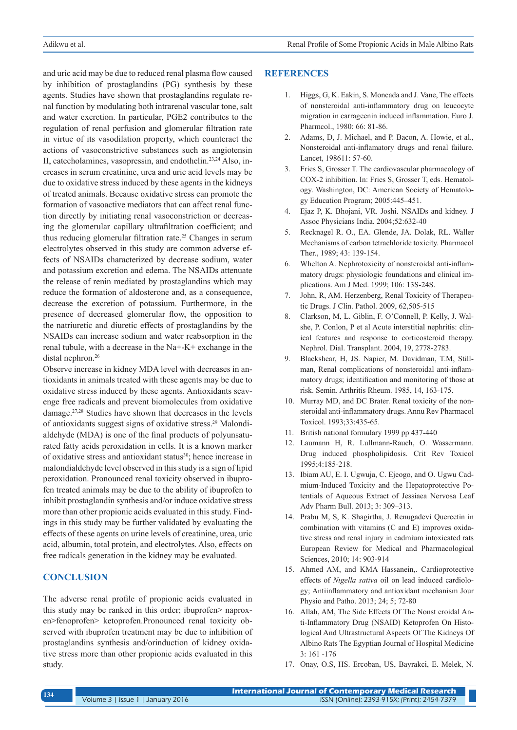and uric acid may be due to reduced renal plasma flow caused by inhibition of prostaglandins (PG) synthesis by these agents. Studies have shown that prostaglandins regulate renal function by modulating both intrarenal vascular tone, salt and water excretion. In particular, PGE2 contributes to the regulation of renal perfusion and glomerular filtration rate in virtue of its vasodilation property, which counteract the actions of vasoconstrictive substances such as angiotensin II, catecholamines, vasopressin, and endothelin.23,24 Also, increases in serum creatinine, urea and uric acid levels may be due to oxidative stress induced by these agents in the kidneys of treated animals. Because oxidative stress can promote the formation of vasoactive mediators that can affect renal function directly by initiating renal vasoconstriction or decreasing the glomerular capillary ultrafiltration coefficient; and thus reducing glomerular filtration rate.25 Changes in serum electrolytes observed in this study are common adverse effects of NSAIDs characterized by decrease sodium, water and potassium excretion and edema. The NSAIDs attenuate the release of renin mediated by prostaglandins which may reduce the formation of aldosterone and, as a consequence, decrease the excretion of potassium. Furthermore, in the presence of decreased glomerular flow, the opposition to the natriuretic and diuretic effects of prostaglandins by the NSAIDs can increase sodium and water reabsorption in the renal tubule, with a decrease in the Na+-K+ exchange in the distal nephron.<sup>26</sup>

Observe increase in kidney MDA level with decreases in antioxidants in animals treated with these agents may be due to oxidative stress induced by these agents. Antioxidants scavenge free radicals and prevent biomolecules from oxidative damage.27,28 Studies have shown that decreases in the levels of antioxidants suggest signs of oxidative stress.29 Malondialdehyde (MDA) is one of the final products of polyunsaturated fatty acids peroxidation in cells. It is a known marker of oxidative stress and antioxidant status<sup>30</sup>; hence increase in malondialdehyde level observed in this study is a sign of lipid peroxidation. Pronounced renal toxicity observed in ibuprofen treated animals may be due to the ability of ibuprofen to inhibit prostaglandin synthesis and/or induce oxidative stress more than other propionic acids evaluated in this study. Findings in this study may be further validated by evaluating the effects of these agents on urine levels of creatinine, urea, uric acid, albumin, total protein, and electrolytes. Also, effects on free radicals generation in the kidney may be evaluated.

# **CONCLUSION**

The adverse renal profile of propionic acids evaluated in this study may be ranked in this order; ibuprofen> naproxen>fenoprofen> ketoprofen.Pronounced renal toxicity observed with ibuprofen treatment may be due to inhibition of prostaglandins synthesis and/orinduction of kidney oxidative stress more than other propionic acids evaluated in this study.

## **REFERENCES**

- 1. Higgs, G, K. Eakin, S. Moncada and J. Vane, The effects of nonsteroidal anti-inflammatory drug on leucocyte migration in carrageenin induced inflammation. Euro J. Pharmcol., 1980: 66: 81-86.
- 2. Adams, D, J. Michael, and P. Bacon, A. Howie, et al., Nonsteroidal anti-inflamatory drugs and renal failure. Lancet, 198611: 57-60.
- 3. Fries S, Grosser T. The cardiovascular pharmacology of COX-2 inhibition. In: Fries S, Grosser T, eds. Hematology. Washington, DC: American Society of Hematology Education Program; 2005:445–451.
- 4. Ejaz P, K. Bhojani, VR. Joshi. NSAIDs and kidney. J Assoc Physicians India. 2004;52:632-40
- 5. Recknagel R. O., EA. Glende, JA. Dolak, RL. Waller Mechanisms of carbon tetrachloride toxicity. Pharmacol Ther., 1989; 43: 139-154.
- 6. Whelton A. Nephrotoxicity of nonsteroidal anti-inflammatory drugs: physiologic foundations and clinical implications. Am J Med. 1999; 106: 13S-24S.
- 7. John, R, AM. Herzenberg, Renal Toxicity of Therapeutic Drugs. J Clin. Pathol. 2009, 62,505-515
- 8. Clarkson, M, L. Giblin, F. O'Connell, P. Kelly, J. Walshe, P. Conlon, P et al Acute interstitial nephritis: clinical features and response to corticosteroid therapy. Nephrol. Dial. Transplant. 2004, 19, 2778-2783.
- 9. Blackshear, H, JS. Napier, M. Davidman, T.M, Stillman, Renal complications of nonsteroidal anti-inflammatory drugs; identification and monitoring of those at risk. Semin. Arthritis Rheum. 1985, 14, 163-175.
- 10. Murray MD, and DC Brater. Renal toxicity of the nonsteroidal anti-inflammatory drugs. Annu Rev Pharmacol Toxicol. 1993;33:435-65.
- 11. British national formulary 1999 pp 437-440
- 12. Laumann H, R. Lullmann-Rauch, O. Wassermann. Drug induced phospholipidosis. Crit Rev Toxicol 1995;4:185-218.
- 13. Ibiam AU, E. I. Ugwuja, C. Ejeogo, and O. Ugwu Cadmium-Induced Toxicity and the Hepatoprotective Potentials of Aqueous Extract of Jessiaea Nervosa Leaf Adv Pharm Bull. 2013; 3: 309–313.
- 14. Prabu M, S, K. Shagirtha, J. Renugadevi Quercetin in combination with vitamins (C and E) improves oxidative stress and renal injury in cadmium intoxicated rats European Review for Medical and Pharmacological Sciences, 2010; 14: 903-914
- 15. Ahmed AM, and KMA Hassanein,. Cardioprotective effects of *Nigella sativa* oil on lead induced cardiology; Antiinflammatory and antioxidant mechanism Jour Physio and Patho. 2013; 24; 5; 72-80
- 16. Allah, AM, The Side Effects Of The Nonst eroidal Anti-Inflammatory Drug (NSAID) Ketoprofen On Histological And Ultrastructural Aspects Of The Kidneys Of Albino Rats The Egyptian Journal of Hospital Medicine 3: 161 -176
- 17. Onay, O.S, HS. Ercoban, US, Bayrakci, E. Melek, N.